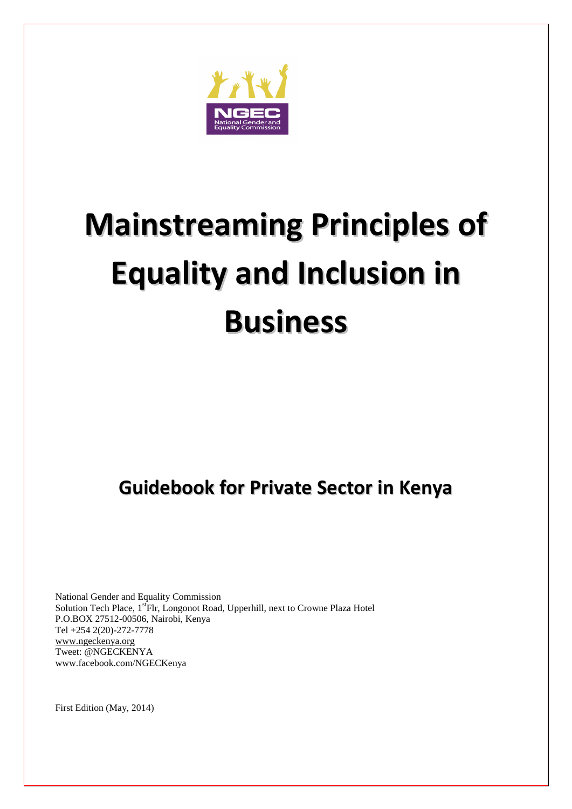

# **Mainstreaming Principles of Equality and Inclusion in Business**

# **Guidebook for Private Sector in Kenya**

National Gender and Equality Commission Solution Tech Place, 1<sup>st</sup>Flr, Longonot Road, Upperhill, next to Crowne Plaza Hotel P.O.BOX 27512-00506, Nairobi, Kenya Tel +254 2(20)-272-7778 [www.ngeckenya.org](http://www.ngeckenya.org/) Tweet: @NGECKENYA www.facebook.com/NGECKenya

First Edition (May, 2014)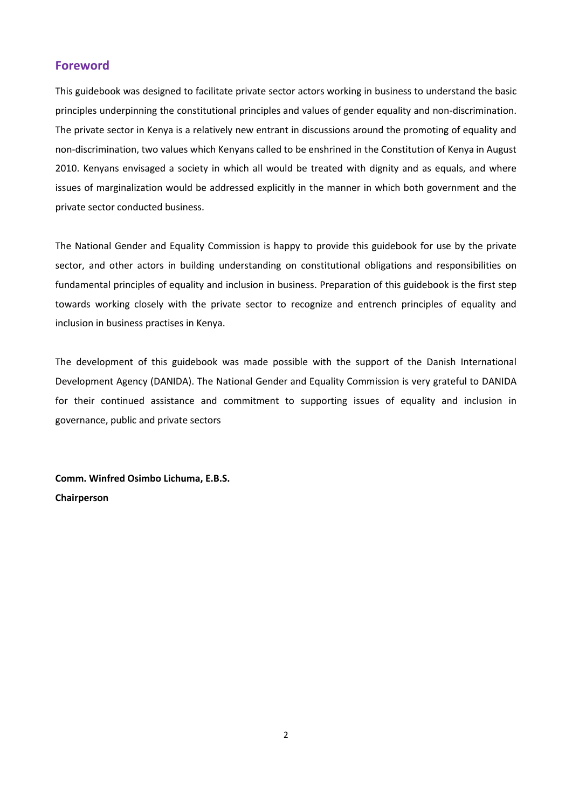#### <span id="page-1-0"></span>**Foreword**

This guidebook was designed to facilitate private sector actors working in business to understand the basic principles underpinning the constitutional principles and values of gender equality and non-discrimination. The private sector in Kenya is a relatively new entrant in discussions around the promoting of equality and non-discrimination, two values which Kenyans called to be enshrined in the Constitution of Kenya in August 2010. Kenyans envisaged a society in which all would be treated with dignity and as equals, and where issues of marginalization would be addressed explicitly in the manner in which both government and the private sector conducted business.

The National Gender and Equality Commission is happy to provide this guidebook for use by the private sector, and other actors in building understanding on constitutional obligations and responsibilities on fundamental principles of equality and inclusion in business. Preparation of this guidebook is the first step towards working closely with the private sector to recognize and entrench principles of equality and inclusion in business practises in Kenya.

The development of this guidebook was made possible with the support of the Danish International Development Agency (DANIDA). The National Gender and Equality Commission is very grateful to DANIDA for their continued assistance and commitment to supporting issues of equality and inclusion in governance, public and private sectors

**Comm. Winfred Osimbo Lichuma, E.B.S. Chairperson**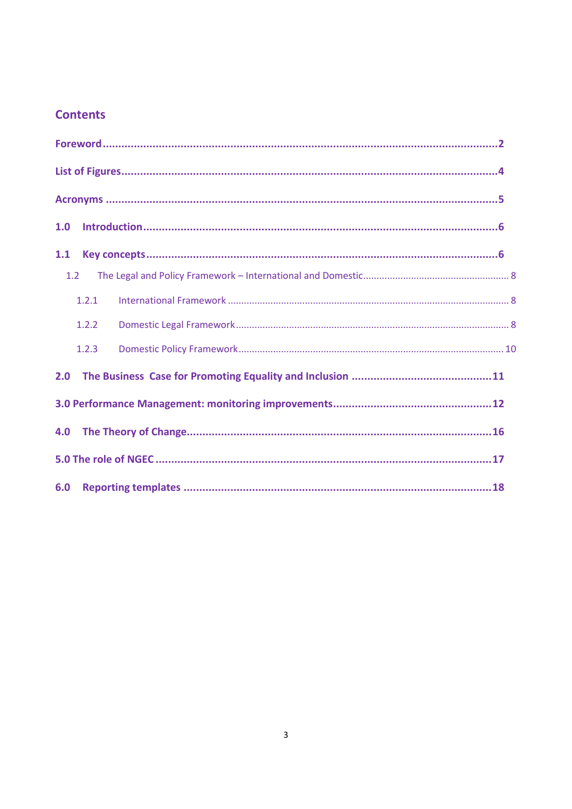# **Contents**

| 1.0 |       | $\label{lem:1} \textbf{Introduction}.\textcolor{red}{\textbf{num}}\textcolor{red}{\textbf{num}}\textcolor{red}{\textbf{num}}\textcolor{red}{\textbf{num}}\textcolor{red}{\textbf{num}}\textcolor{red}{\textbf{num}}\textcolor{red}{\textbf{num}}\textcolor{red}{\textbf{num}}\textcolor{red}{\textbf{num}}\textcolor{red}{\textbf{num}}\textcolor{red}{\textbf{num}}\textcolor{red}{\textbf{num}}\textcolor{red}{\textbf{num}}\textcolor{red}{\textbf{norm}}\textcolor{red}{\textbf{num}}\textcolor{red}{\textbf{norm}}\textcolor{red}{\textbf{num}}\textcolor$ |  |
|-----|-------|-----------------------------------------------------------------------------------------------------------------------------------------------------------------------------------------------------------------------------------------------------------------------------------------------------------------------------------------------------------------------------------------------------------------------------------------------------------------------------------------------------------------------------------------------------------------|--|
| 1.1 |       |                                                                                                                                                                                                                                                                                                                                                                                                                                                                                                                                                                 |  |
| 1.2 |       |                                                                                                                                                                                                                                                                                                                                                                                                                                                                                                                                                                 |  |
|     | 1.2.1 |                                                                                                                                                                                                                                                                                                                                                                                                                                                                                                                                                                 |  |
|     | 1.2.2 |                                                                                                                                                                                                                                                                                                                                                                                                                                                                                                                                                                 |  |
|     | 1.2.3 |                                                                                                                                                                                                                                                                                                                                                                                                                                                                                                                                                                 |  |
| 2.0 |       |                                                                                                                                                                                                                                                                                                                                                                                                                                                                                                                                                                 |  |
|     |       |                                                                                                                                                                                                                                                                                                                                                                                                                                                                                                                                                                 |  |
| 4.0 |       |                                                                                                                                                                                                                                                                                                                                                                                                                                                                                                                                                                 |  |
|     |       |                                                                                                                                                                                                                                                                                                                                                                                                                                                                                                                                                                 |  |
| 6.0 |       |                                                                                                                                                                                                                                                                                                                                                                                                                                                                                                                                                                 |  |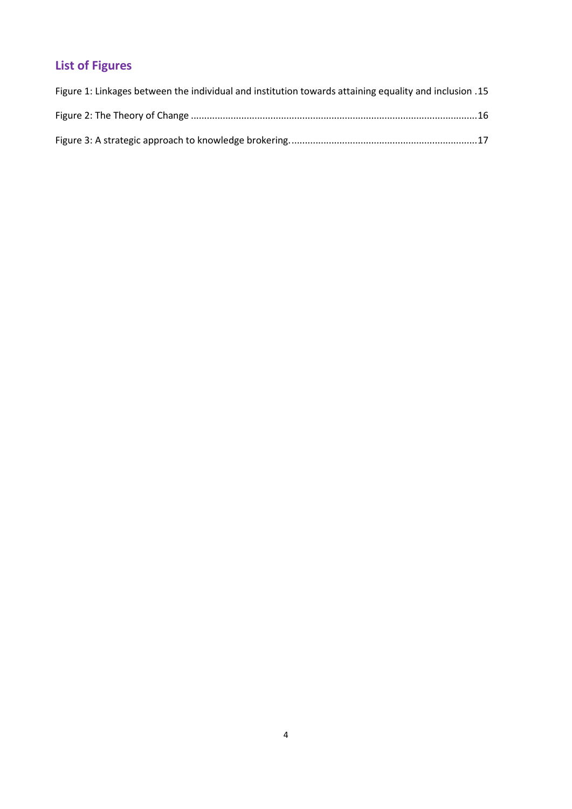# <span id="page-3-0"></span>**List of Figures**

| 15. Figure 1: Linkages between the individual and institution towards attaining equality and inclusion 15 |  |
|-----------------------------------------------------------------------------------------------------------|--|
|                                                                                                           |  |
|                                                                                                           |  |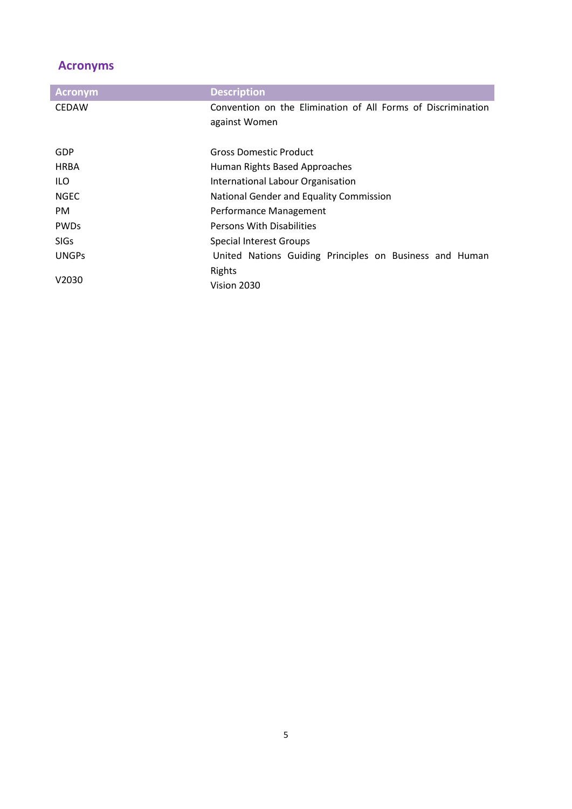# <span id="page-4-0"></span>**Acronyms**

| <b>Acronym</b> | <b>Description</b>                                           |  |  |  |  |  |  |  |  |  |
|----------------|--------------------------------------------------------------|--|--|--|--|--|--|--|--|--|
| <b>CEDAW</b>   | Convention on the Elimination of All Forms of Discrimination |  |  |  |  |  |  |  |  |  |
|                | against Women                                                |  |  |  |  |  |  |  |  |  |
|                |                                                              |  |  |  |  |  |  |  |  |  |
| GDP            | Gross Domestic Product                                       |  |  |  |  |  |  |  |  |  |
| <b>HRBA</b>    | Human Rights Based Approaches                                |  |  |  |  |  |  |  |  |  |
| ILO.           | International Labour Organisation                            |  |  |  |  |  |  |  |  |  |
| <b>NGEC</b>    | National Gender and Equality Commission                      |  |  |  |  |  |  |  |  |  |
| PM.            | Performance Management                                       |  |  |  |  |  |  |  |  |  |
| <b>PWDs</b>    | <b>Persons With Disabilities</b>                             |  |  |  |  |  |  |  |  |  |
| <b>SIGs</b>    | <b>Special Interest Groups</b>                               |  |  |  |  |  |  |  |  |  |
| <b>UNGPS</b>   | United Nations Guiding Principles on Business and Human      |  |  |  |  |  |  |  |  |  |
|                | Rights                                                       |  |  |  |  |  |  |  |  |  |
| V2030          | Vision 2030                                                  |  |  |  |  |  |  |  |  |  |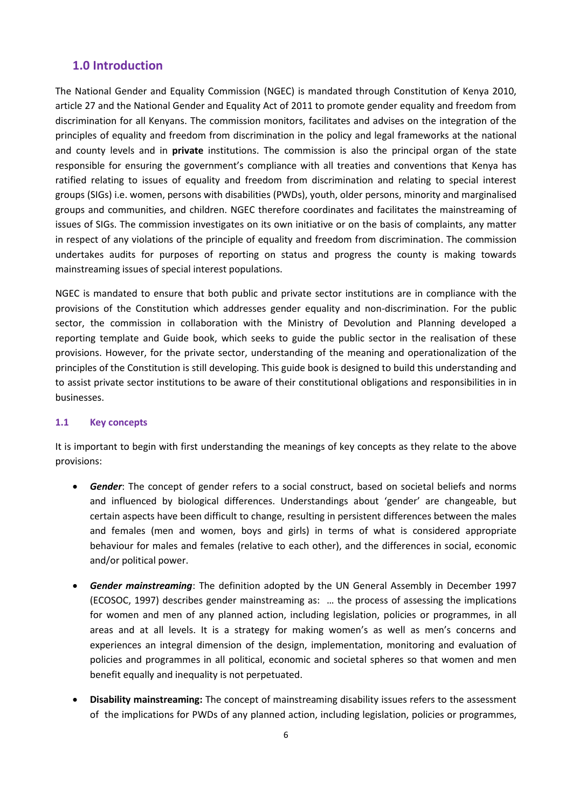#### <span id="page-5-0"></span>**1.0 Introduction**

The National Gender and Equality Commission (NGEC) is mandated through Constitution of Kenya 2010, article 27 and the National Gender and Equality Act of 2011 to promote gender equality and freedom from discrimination for all Kenyans. The commission monitors, facilitates and advises on the integration of the principles of equality and freedom from discrimination in the policy and legal frameworks at the national and county levels and in **private** institutions. The commission is also the principal organ of the state responsible for ensuring the government's compliance with all treaties and conventions that Kenya has ratified relating to issues of equality and freedom from discrimination and relating to special interest groups (SIGs) i.e. women, persons with disabilities (PWDs), youth, older persons, minority and marginalised groups and communities, and children. NGEC therefore coordinates and facilitates the mainstreaming of issues of SIGs. The commission investigates on its own initiative or on the basis of complaints, any matter in respect of any violations of the principle of equality and freedom from discrimination. The commission undertakes audits for purposes of reporting on status and progress the county is making towards mainstreaming issues of special interest populations.

NGEC is mandated to ensure that both public and private sector institutions are in compliance with the provisions of the Constitution which addresses gender equality and non-discrimination. For the public sector, the commission in collaboration with the Ministry of Devolution and Planning developed a reporting template and Guide book, which seeks to guide the public sector in the realisation of these provisions. However, for the private sector, understanding of the meaning and operationalization of the principles of the Constitution is still developing. This guide book is designed to build this understanding and to assist private sector institutions to be aware of their constitutional obligations and responsibilities in in businesses.

#### <span id="page-5-1"></span>**1.1 Key concepts**

It is important to begin with first understanding the meanings of key concepts as they relate to the above provisions:

- *Gender*: The concept of gender refers to a social construct, based on societal beliefs and norms and influenced by biological differences. Understandings about 'gender' are changeable, but certain aspects have been difficult to change, resulting in persistent differences between the males and females (men and women, boys and girls) in terms of what is considered appropriate behaviour for males and females (relative to each other), and the differences in social, economic and/or political power.
- *Gender mainstreaming*: The definition adopted by the UN General Assembly in December 1997 (ECOSOC, 1997) describes gender mainstreaming as: … the process of assessing the implications for women and men of any planned action, including legislation, policies or programmes, in all areas and at all levels. It is a strategy for making women's as well as men's concerns and experiences an integral dimension of the design, implementation, monitoring and evaluation of policies and programmes in all political, economic and societal spheres so that women and men benefit equally and inequality is not perpetuated.
- **Disability mainstreaming:** The concept of mainstreaming disability issues refers to the assessment of the implications for PWDs of any planned action, including legislation, policies or programmes,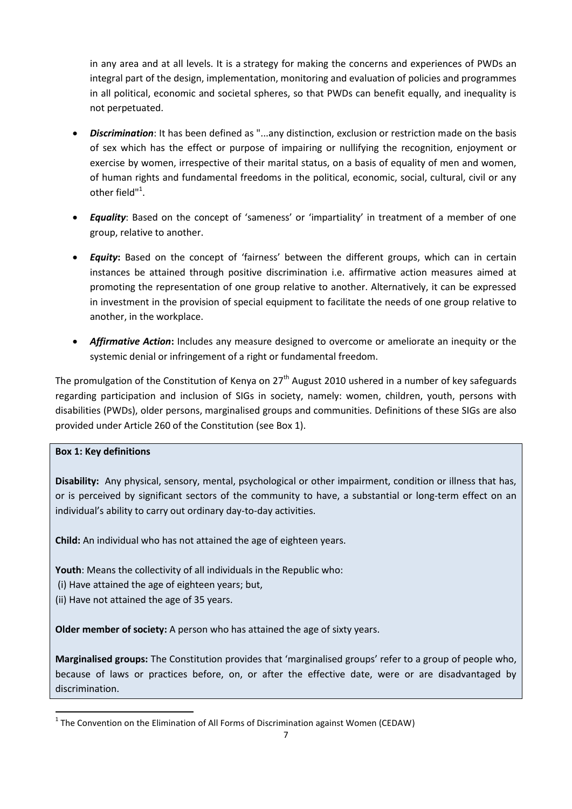in any area and at all levels. It is a strategy for making the concerns and experiences of PWDs an integral part of the design, implementation, monitoring and evaluation of policies and programmes in all political, economic and societal spheres, so that PWDs can benefit equally, and inequality is not perpetuated.

- *Discrimination*: It has been defined as "...any distinction, exclusion or restriction made on the basis of sex which has the effect or purpose of impairing or nullifying the recognition, enjoyment or exercise by women, irrespective of their marital status, on a basis of equality of men and women, of human rights and fundamental freedoms in the political, economic, social, cultural, civil or any other field"<sup>1</sup>.
- *Equality*: Based on the concept of 'sameness' or 'impartiality' in treatment of a member of one group, relative to another.
- **Equity:** Based on the concept of 'fairness' between the different groups, which can in certain instances be attained through positive discrimination i.e. affirmative action measures aimed at promoting the representation of one group relative to another. Alternatively, it can be expressed in investment in the provision of special equipment to facilitate the needs of one group relative to another, in the workplace.
- *Affirmative Action***:** Includes any measure designed to overcome or ameliorate an inequity or the systemic denial or infringement of a right or fundamental freedom.

The promulgation of the Constitution of Kenya on  $27<sup>th</sup>$  August 2010 ushered in a number of key safeguards regarding participation and inclusion of SIGs in society, namely: women, children, youth, persons with disabilities (PWDs), older persons, marginalised groups and communities. Definitions of these SIGs are also provided under Article 260 of the Constitution (see Box 1).

#### **Box 1: Key definitions**

 $\ddot{\phantom{a}}$ 

**Disability:** Any physical, sensory, mental, psychological or other impairment, condition or illness that has, or is perceived by significant sectors of the community to have, a substantial or long-term effect on an individual's ability to carry out ordinary day-to-day activities.

**Child:** An individual who has not attained the age of eighteen years.

**Youth**: Means the collectivity of all individuals in the Republic who:

(i) Have attained the age of eighteen years; but,

(ii) Have not attained the age of 35 years.

**Older member of society:** A person who has attained the age of sixty years.

**Marginalised groups:** The Constitution provides that 'marginalised groups' refer to a group of people who, because of laws or practices before, on, or after the effective date, were or are disadvantaged by discrimination.

 $<sup>1</sup>$  The Convention on the Elimination of All Forms of Discrimination against Women (CEDAW)</sup>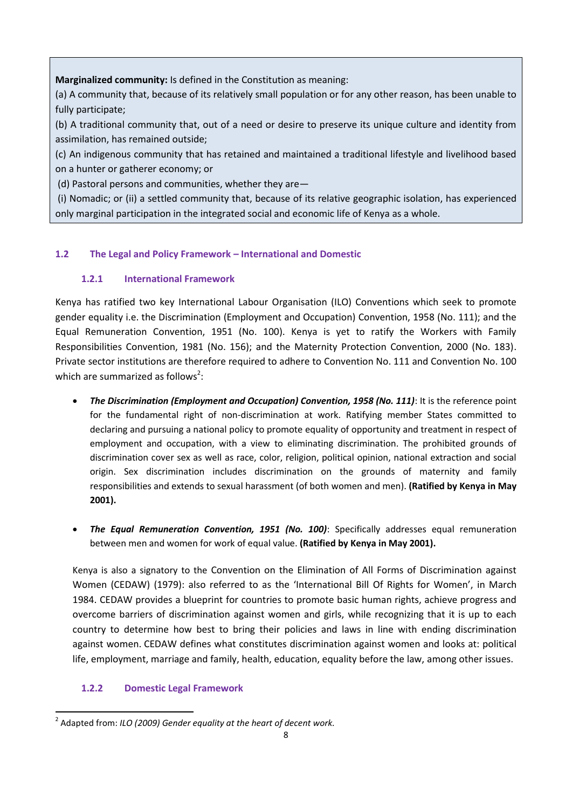**Marginalized community:** Is defined in the Constitution as meaning:

(a) A community that, because of its relatively small population or for any other reason, has been unable to fully participate;

(b) A traditional community that, out of a need or desire to preserve its unique culture and identity from assimilation, has remained outside;

(c) An indigenous community that has retained and maintained a traditional lifestyle and livelihood based on a hunter or gatherer economy; or

(d) Pastoral persons and communities, whether they are—

(i) Nomadic; or (ii) a settled community that, because of its relative geographic isolation, has experienced only marginal participation in the integrated social and economic life of Kenya as a whole.

## <span id="page-7-0"></span>**1.2 The Legal and Policy Framework – International and Domestic**

#### **1.2.1 International Framework**

<span id="page-7-1"></span>Kenya has ratified two key International Labour Organisation (ILO) Conventions which seek to promote gender equality i.e. the Discrimination (Employment and Occupation) Convention, 1958 (No. 111); and the Equal Remuneration Convention, 1951 (No. 100). Kenya is yet to ratify the Workers with Family Responsibilities Convention, 1981 (No. 156); and the Maternity Protection Convention, 2000 (No. 183). Private sector institutions are therefore required to adhere to Convention No. 111 and Convention No. 100 which are summarized as follows<sup>2</sup>:

- *The Discrimination (Employment and Occupation) Convention, 1958 (No. 111)*: It is the reference point for the fundamental right of non-discrimination at work. Ratifying member States committed to declaring and pursuing a national policy to promote equality of opportunity and treatment in respect of employment and occupation, with a view to eliminating discrimination. The prohibited grounds of discrimination cover sex as well as race, color, religion, political opinion, national extraction and social origin. Sex discrimination includes discrimination on the grounds of maternity and family responsibilities and extends to sexual harassment (of both women and men). **(Ratified by Kenya in May 2001).**
- *The Equal Remuneration Convention, 1951 (No. 100)*: Specifically addresses equal remuneration between men and women for work of equal value. **(Ratified by Kenya in May 2001).**

Kenya is also a signatory to the Convention on the Elimination of All Forms of Discrimination against Women (CEDAW) (1979): also referred to as the 'International Bill Of Rights for Women', in March 1984. CEDAW provides a blueprint for countries to promote basic human rights, achieve progress and overcome barriers of discrimination against women and girls, while recognizing that it is up to each country to determine how best to bring their policies and laws in line with ending discrimination against women. CEDAW defines what constitutes discrimination against women and looks at: political life, employment, marriage and family, health, education, equality before the law, among other issues.

## **1.2.2 Domestic Legal Framework**

<span id="page-7-2"></span> $\ddot{\phantom{a}}$ 2 Adapted from: *ILO (2009) Gender equality at the heart of decent work.*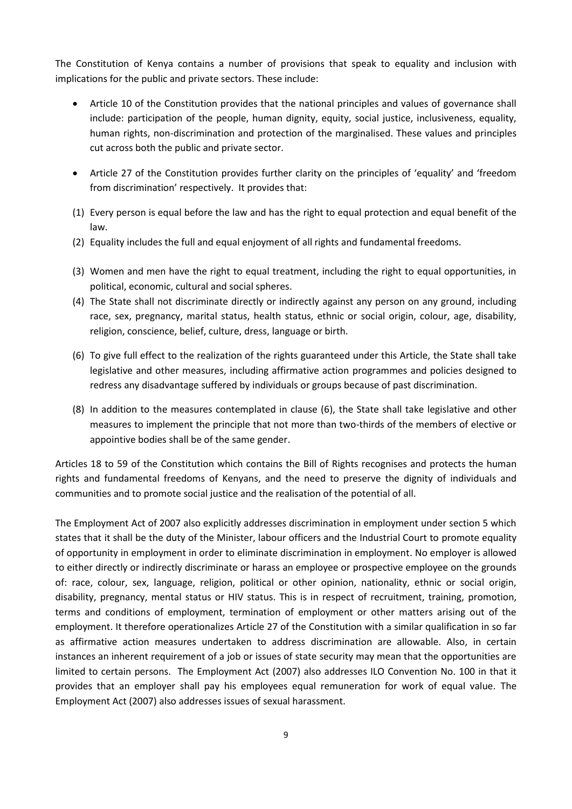The Constitution of Kenya contains a number of provisions that speak to equality and inclusion with implications for the public and private sectors. These include:

- Article 10 of the Constitution provides that the national principles and values of governance shall include: participation of the people, human dignity, equity, social justice, inclusiveness, equality, human rights, non-discrimination and protection of the marginalised. These values and principles cut across both the public and private sector.
- Article 27 of the Constitution provides further clarity on the principles of 'equality' and 'freedom from discrimination' respectively. It provides that:
- (1) Every person is equal before the law and has the right to equal protection and equal benefit of the law.
- (2) Equality includes the full and equal enjoyment of all rights and fundamental freedoms.
- (3) Women and men have the right to equal treatment, including the right to equal opportunities, in political, economic, cultural and social spheres.
- (4) The State shall not discriminate directly or indirectly against any person on any ground, including race, sex, pregnancy, marital status, health status, ethnic or social origin, colour, age, disability, religion, conscience, belief, culture, dress, language or birth.
- (6) To give full effect to the realization of the rights guaranteed under this Article, the State shall take legislative and other measures, including affirmative action programmes and policies designed to redress any disadvantage suffered by individuals or groups because of past discrimination.
- (8) In addition to the measures contemplated in clause (6), the State shall take legislative and other measures to implement the principle that not more than two-thirds of the members of elective or appointive bodies shall be of the same gender.

Articles 18 to 59 of the Constitution which contains the Bill of Rights recognises and protects the human rights and fundamental freedoms of Kenyans, and the need to preserve the dignity of individuals and communities and to promote social justice and the realisation of the potential of all.

The Employment Act of 2007 also explicitly addresses discrimination in employment under section 5 which states that it shall be the duty of the Minister, labour officers and the Industrial Court to promote equality of opportunity in employment in order to eliminate discrimination in employment. No employer is allowed to either directly or indirectly discriminate or harass an employee or prospective employee on the grounds of: race, colour, sex, language, religion, political or other opinion, nationality, ethnic or social origin, disability, pregnancy, mental status or HIV status. This is in respect of recruitment, training, promotion, terms and conditions of employment, termination of employment or other matters arising out of the employment. It therefore operationalizes Article 27 of the Constitution with a similar qualification in so far as affirmative action measures undertaken to address discrimination are allowable. Also, in certain instances an inherent requirement of a job or issues of state security may mean that the opportunities are limited to certain persons. The Employment Act (2007) also addresses ILO Convention No. 100 in that it provides that an employer shall pay his employees equal remuneration for work of equal value. The Employment Act (2007) also addresses issues of sexual harassment.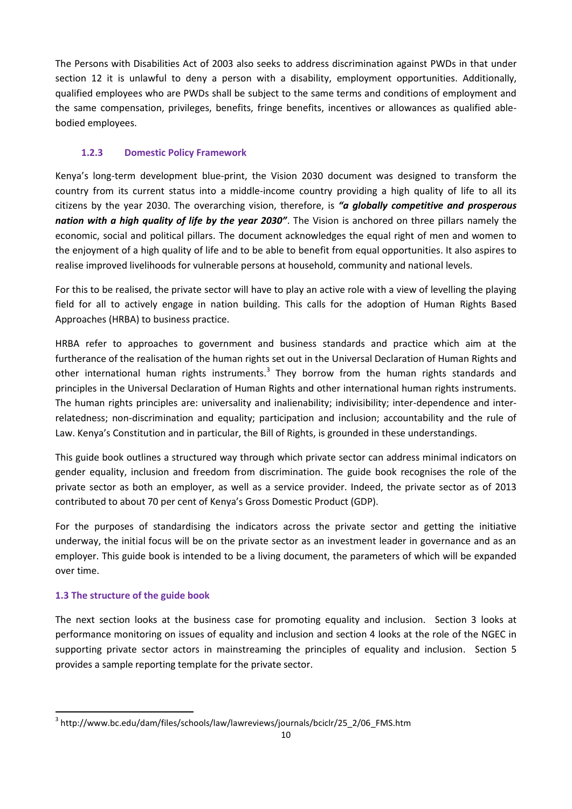The Persons with Disabilities Act of 2003 also seeks to address discrimination against PWDs in that under section 12 it is unlawful to deny a person with a disability, employment opportunities. Additionally, qualified employees who are PWDs shall be subject to the same terms and conditions of employment and the same compensation, privileges, benefits, fringe benefits, incentives or allowances as qualified ablebodied employees.

#### **1.2.3 Domestic Policy Framework**

<span id="page-9-0"></span>Kenya's long-term development blue-print, the Vision 2030 document was designed to transform the country from its current status into a middle-income country providing a high quality of life to all its citizens by the year 2030. The overarching vision, therefore, is *"a globally competitive and prosperous nation with a high quality of life by the year 2030"*. The Vision is anchored on three pillars namely the economic, social and political pillars. The document acknowledges the equal right of men and women to the enjoyment of a high quality of life and to be able to benefit from equal opportunities. It also aspires to realise improved livelihoods for vulnerable persons at household, community and national levels.

For this to be realised, the private sector will have to play an active role with a view of levelling the playing field for all to actively engage in nation building. This calls for the adoption of Human Rights Based Approaches (HRBA) to business practice.

HRBA refer to approaches to government and business standards and practice which aim at the furtherance of the realisation of the human rights set out in the Universal Declaration of Human Rights and other international human rights instruments.<sup>3</sup> They borrow from the human rights standards and principles in the Universal Declaration of Human Rights and other international human rights instruments. The human rights principles are: universality and inalienability; indivisibility; inter-dependence and interrelatedness; non-discrimination and equality; participation and inclusion; accountability and the rule of Law. Kenya's Constitution and in particular, the Bill of Rights, is grounded in these understandings.

This guide book outlines a structured way through which private sector can address minimal indicators on gender equality, inclusion and freedom from discrimination. The guide book recognises the role of the private sector as both an employer, as well as a service provider. Indeed, the private sector as of 2013 contributed to about 70 per cent of Kenya's Gross Domestic Product (GDP).

For the purposes of standardising the indicators across the private sector and getting the initiative underway, the initial focus will be on the private sector as an investment leader in governance and as an employer. This guide book is intended to be a living document, the parameters of which will be expanded over time.

#### **1.3 The structure of the guide book**

 $\ddot{\phantom{a}}$ 

The next section looks at the business case for promoting equality and inclusion. Section 3 looks at performance monitoring on issues of equality and inclusion and section 4 looks at the role of the NGEC in supporting private sector actors in mainstreaming the principles of equality and inclusion. Section 5 provides a sample reporting template for the private sector.

<sup>3</sup> http://www.bc.edu/dam/files/schools/law/lawreviews/journals/bciclr/25\_2/06\_FMS.htm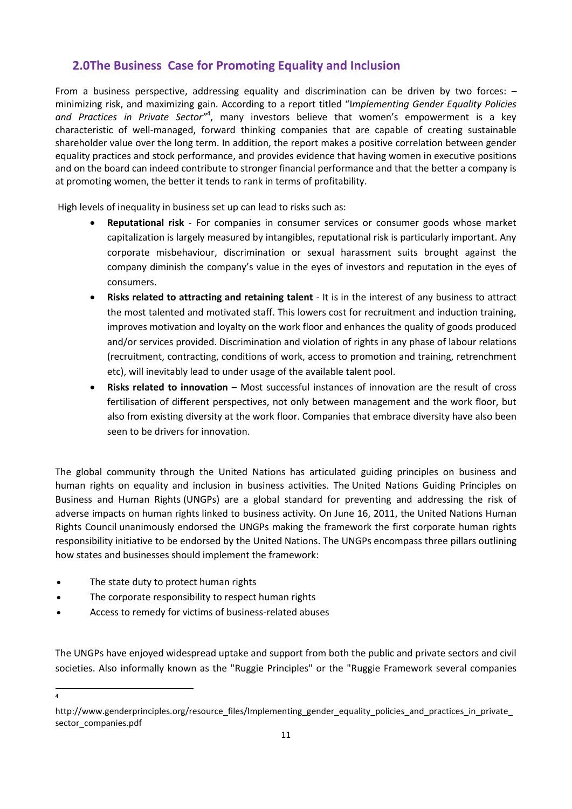# <span id="page-10-0"></span>**2.0The Business Case for Promoting Equality and Inclusion**

From a business perspective, addressing equality and discrimination can be driven by two forces: – minimizing risk, and maximizing gain. According to a report titled "I*mplementing Gender Equality Policies*  and Practices in Private Sector<sup>14</sup>, many investors believe that women's empowerment is a key characteristic of well-managed, forward thinking companies that are capable of creating sustainable shareholder value over the long term. In addition, the report makes a positive correlation between gender equality practices and stock performance, and provides evidence that having women in executive positions and on the board can indeed contribute to stronger financial performance and that the better a company is at promoting women, the better it tends to rank in terms of profitability.

High levels of inequality in business set up can lead to risks such as:

- **Reputational risk** For companies in consumer services or consumer goods whose market capitalization is largely measured by intangibles, reputational risk is particularly important. Any corporate misbehaviour, discrimination or sexual harassment suits brought against the company diminish the company's value in the eyes of investors and reputation in the eyes of consumers.
- **Risks related to attracting and retaining talent**  It is in the interest of any business to attract the most talented and motivated staff. This lowers cost for recruitment and induction training, improves motivation and loyalty on the work floor and enhances the quality of goods produced and/or services provided. Discrimination and violation of rights in any phase of labour relations (recruitment, contracting, conditions of work, access to promotion and training, retrenchment etc), will inevitably lead to under usage of the available talent pool.
- **Risks related to innovation**  Most successful instances of innovation are the result of cross fertilisation of different perspectives, not only between management and the work floor, but also from existing diversity at the work floor. Companies that embrace diversity have also been seen to be drivers for innovation.

The global community through the United Nations has articulated guiding principles on business and human rights on equality and inclusion in business activities. The United Nations Guiding Principles on Business and Human Rights (UNGPs) are a global standard for preventing and addressing the risk of adverse impacts on [human rights](http://en.wikipedia.org/wiki/Human_rights) linked to business activity. On June 16, 2011, the [United Nations Human](http://en.wikipedia.org/wiki/United_Nations_Human_Rights_Council)  [Rights Council](http://en.wikipedia.org/wiki/United_Nations_Human_Rights_Council) unanimously endorsed the UNGPs making the framework the first corporate human rights responsibility initiative to be endorsed by the [United Nations.](http://en.wikipedia.org/wiki/United_Nations) The UNGPs encompass three pillars outlining how states and businesses should implement the framework:

- The state duty to protect human rights
- The corporate responsibility to respect human rights
- Access to remedy for victims of business-related abuses

The UNGPs have enjoyed widespread uptake and support from both the public and private sectors and civil societies. Also informally known as the "Ruggie Principles" or the "Ruggie Framework several companies

4

http://www.genderprinciples.org/resource\_files/Implementing\_gender\_equality\_policies\_and\_practices\_in\_private sector\_companies.pdf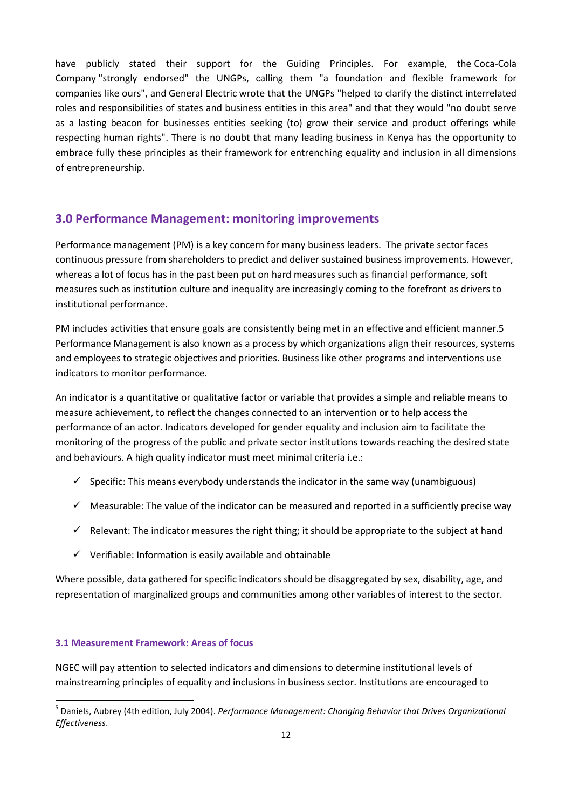have publicly stated their support for the Guiding Principles. For example, the [Coca-Cola](http://en.wikipedia.org/wiki/The_Coca-Cola_Company)  [Company](http://en.wikipedia.org/wiki/The_Coca-Cola_Company) "strongly endorsed" the UNGPs, calling them "a foundation and flexible framework for companies like ours", and [General Electric](http://en.wikipedia.org/wiki/General_Electric) wrote that the UNGPs "helped to clarify the distinct interrelated roles and responsibilities of states and business entities in this area" and that they would "no doubt serve as a lasting beacon for businesses entities seeking (to) grow their service and product offerings while respecting human rights". There is no doubt that many leading business in Kenya has the opportunity to embrace fully these principles as their framework for entrenching equality and inclusion in all dimensions of entrepreneurship.

#### <span id="page-11-0"></span>**3.0 Performance Management: monitoring improvements**

Performance management (PM) is a key concern for many business leaders. The private sector faces continuous pressure from shareholders to predict and deliver sustained business improvements. However, whereas a lot of focus has in the past been put on hard measures such as financial performance, soft measures such as institution culture and inequality are increasingly coming to the forefront as drivers to institutional performance.

PM includes activities that ensure goals are consistently being met in an effective and efficient manner.5 Performance Management is also known as a process by which organizations align their resources, systems and employees to strategic objectives and priorities. Business like other programs and interventions use indicators to monitor performance.

An indicator is a quantitative or qualitative factor or variable that provides a simple and reliable means to measure achievement, to reflect the changes connected to an intervention or to help access the performance of an actor. Indicators developed for gender equality and inclusion aim to facilitate the monitoring of the progress of the public and private sector institutions towards reaching the desired state and behaviours. A high quality indicator must meet minimal criteria i.e.:

- $\checkmark$  Specific: This means everybody understands the indicator in the same way (unambiguous)
- $\checkmark$  Measurable: The value of the indicator can be measured and reported in a sufficiently precise way
- $\checkmark$  Relevant: The indicator measures the right thing; it should be appropriate to the subject at hand
- $\checkmark$  Verifiable: Information is easily available and obtainable

Where possible, data gathered for specific indicators should be disaggregated by sex, disability, age, and representation of marginalized groups and communities among other variables of interest to the sector.

#### **3.1 Measurement Framework: Areas of focus**

 $\overline{a}$ 

NGEC will pay attention to selected indicators and dimensions to determine institutional levels of mainstreaming principles of equality and inclusions in business sector. Institutions are encouraged to

<sup>5</sup> Daniels, Aubrey (4th edition, July 2004). *Performance Management: Changing Behavior that Drives Organizational Effectiveness*.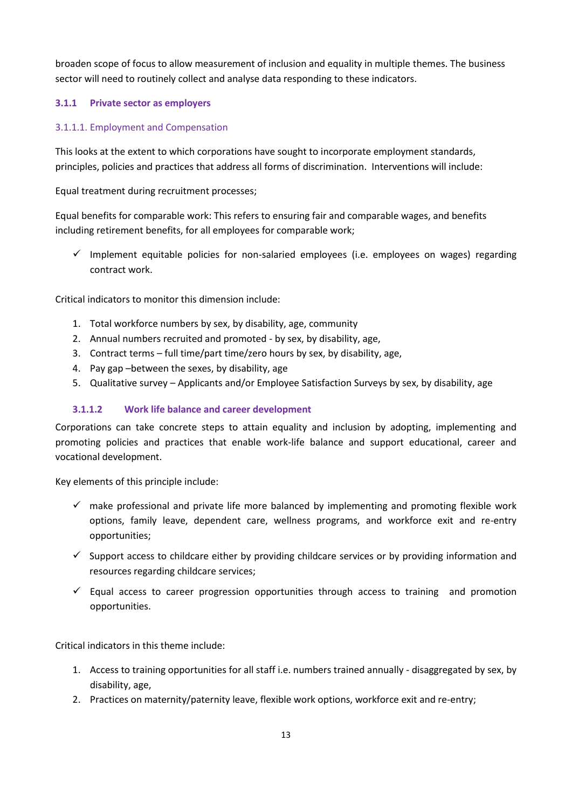broaden scope of focus to allow measurement of inclusion and equality in multiple themes. The business sector will need to routinely collect and analyse data responding to these indicators.

#### **3.1.1 Private sector as employers**

#### 3.1.1.1. Employment and Compensation

This looks at the extent to which corporations have sought to incorporate employment standards, principles, policies and practices that address all forms of discrimination. Interventions will include:

Equal treatment during recruitment processes;

Equal benefits for comparable work: This refers to ensuring fair and comparable wages, and benefits including retirement benefits, for all employees for comparable work;

 $\checkmark$  Implement equitable policies for non-salaried employees (i.e. employees on wages) regarding contract work.

Critical indicators to monitor this dimension include:

- 1. Total workforce numbers by sex, by disability, age, community
- 2. Annual numbers recruited and promoted by sex, by disability, age,
- 3. Contract terms full time/part time/zero hours by sex, by disability, age,
- 4. Pay gap –between the sexes, by disability, age
- 5. Qualitative survey Applicants and/or Employee Satisfaction Surveys by sex, by disability, age

#### **3.1.1.2 Work life balance and career development**

Corporations can take concrete steps to attain equality and inclusion by adopting, implementing and promoting policies and practices that enable work-life balance and support educational, career and vocational development.

Key elements of this principle include:

- $\checkmark$  make professional and private life more balanced by implementing and promoting flexible work options, family leave, dependent care, wellness programs, and workforce exit and re-entry opportunities;
- $\checkmark$  Support access to childcare either by providing childcare services or by providing information and resources regarding childcare services;
- $\checkmark$  Equal access to career progression opportunities through access to training and promotion opportunities.

Critical indicators in this theme include:

- 1. Access to training opportunities for all staff i.e. numbers trained annually disaggregated by sex, by disability, age,
- 2. Practices on maternity/paternity leave, flexible work options, workforce exit and re-entry;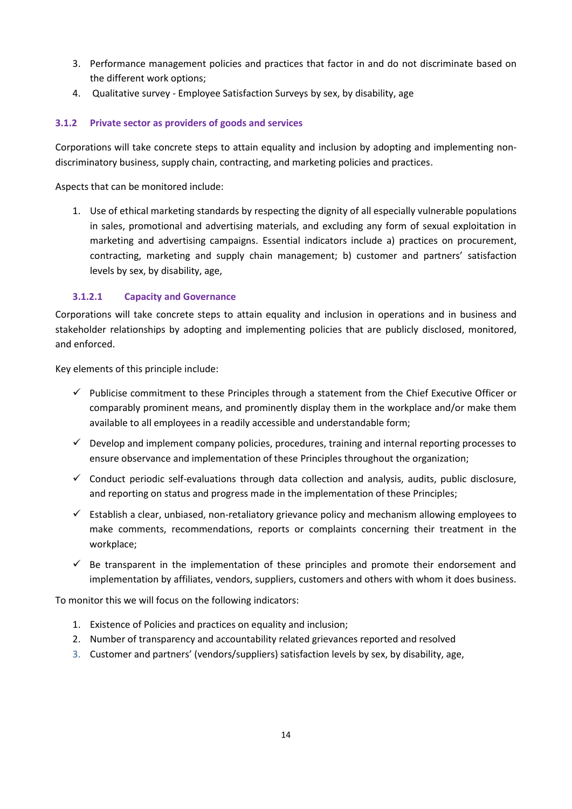- 3. Performance management policies and practices that factor in and do not discriminate based on the different work options;
- 4. Qualitative survey Employee Satisfaction Surveys by sex, by disability, age

#### **3.1.2 Private sector as providers of goods and services**

Corporations will take concrete steps to attain equality and inclusion by adopting and implementing nondiscriminatory business, supply chain, contracting, and marketing policies and practices.

Aspects that can be monitored include:

1. Use of ethical marketing standards by respecting the dignity of all especially vulnerable populations in sales, promotional and advertising materials, and excluding any form of sexual exploitation in marketing and advertising campaigns. Essential indicators include a) practices on procurement, contracting, marketing and supply chain management; b) customer and partners' satisfaction levels by sex, by disability, age,

#### **3.1.2.1 Capacity and Governance**

Corporations will take concrete steps to attain equality and inclusion in operations and in business and stakeholder relationships by adopting and implementing policies that are publicly disclosed, monitored, and enforced.

Key elements of this principle include:

- $\checkmark$  Publicise commitment to these Principles through a statement from the Chief Executive Officer or comparably prominent means, and prominently display them in the workplace and/or make them available to all employees in a readily accessible and understandable form;
- $\checkmark$  Develop and implement company policies, procedures, training and internal reporting processes to ensure observance and implementation of these Principles throughout the organization;
- $\checkmark$  Conduct periodic self-evaluations through data collection and analysis, audits, public disclosure, and reporting on status and progress made in the implementation of these Principles;
- $\checkmark$  Establish a clear, unbiased, non-retaliatory grievance policy and mechanism allowing employees to make comments, recommendations, reports or complaints concerning their treatment in the workplace;
- $\checkmark$  Be transparent in the implementation of these principles and promote their endorsement and implementation by affiliates, vendors, suppliers, customers and others with whom it does business.

To monitor this we will focus on the following indicators:

- 1. Existence of Policies and practices on equality and inclusion;
- 2. Number of transparency and accountability related grievances reported and resolved
- 3. Customer and partners' (vendors/suppliers) satisfaction levels by sex, by disability, age,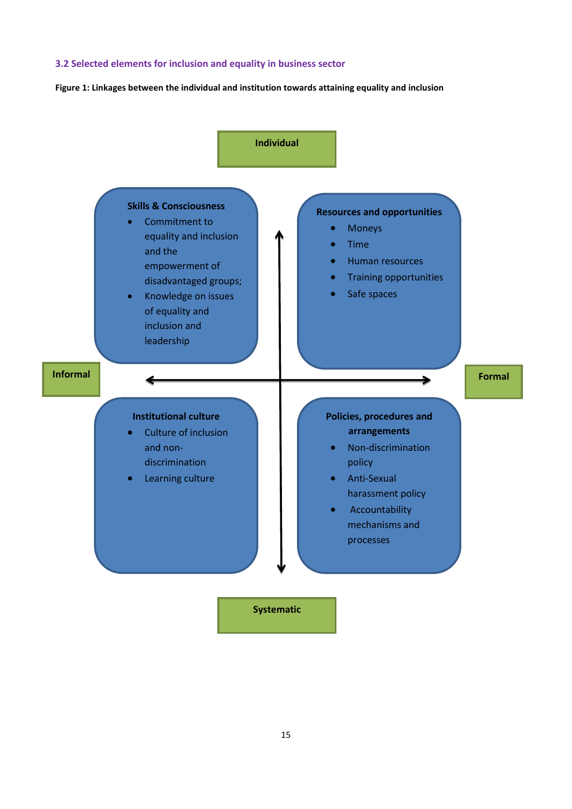#### **3.2 Selected elements for inclusion and equality in business sector**

<span id="page-14-0"></span>**Figure 1: Linkages between the individual and institution towards attaining equality and inclusion**

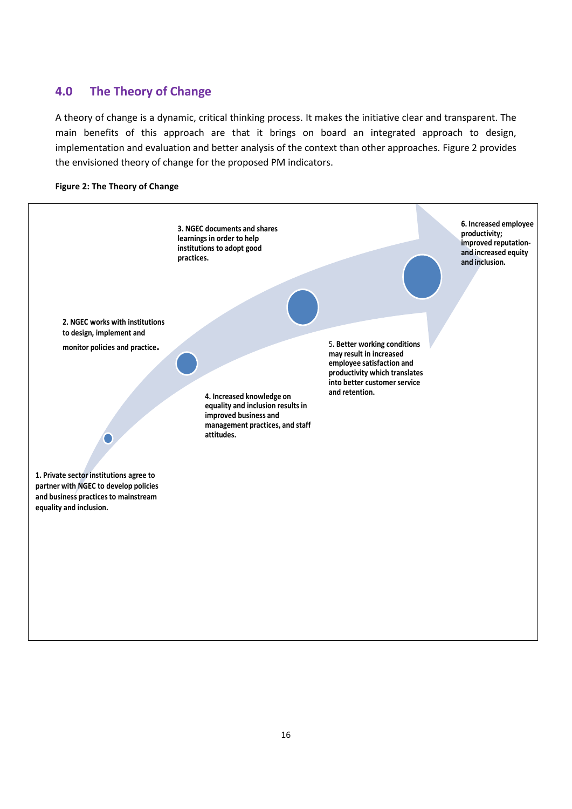# <span id="page-15-0"></span>**4.0 The Theory of Change**

A theory of change is a dynamic, critical thinking process. It makes the initiative clear and transparent. The main benefits of this approach are that it brings on board an integrated approach to design, implementation and evaluation and better analysis of the context than other approaches. Figure 2 provides the envisioned theory of change for the proposed PM indicators.

<span id="page-15-1"></span>

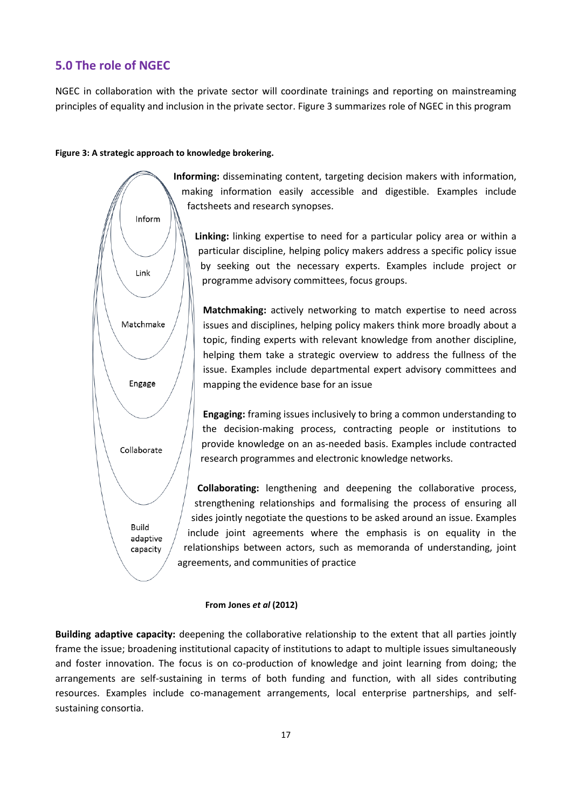### <span id="page-16-0"></span>**5.0 The role of NGEC**

NGEC in collaboration with the private sector will coordinate trainings and reporting on mainstreaming principles of equality and inclusion in the private sector. Figure 3 summarizes role of NGEC in this program

#### <span id="page-16-1"></span>**Figure 3: A strategic approach to knowledge brokering.**

Inform

Link

Matchmake

Engage

Collaborate

Build adaptive capacity

**Informing:** disseminating content, targeting decision makers with information, making information easily accessible and digestible. Examples include factsheets and research synopses.

**Linking:** linking expertise to need for a particular policy area or within a particular discipline, helping policy makers address a specific policy issue by seeking out the necessary experts. Examples include project or programme advisory committees, focus groups.

**Matchmaking:** actively networking to match expertise to need across issues and disciplines, helping policy makers think more broadly about a topic, finding experts with relevant knowledge from another discipline, helping them take a strategic overview to address the fullness of the issue. Examples include departmental expert advisory committees and mapping the evidence base for an issue

**Engaging:** framing issues inclusively to bring a common understanding to the decision-making process, contracting people or institutions to provide knowledge on an as-needed basis. Examples include contracted research programmes and electronic knowledge networks.

**Collaborating:** lengthening and deepening the collaborative process, strengthening relationships and formalising the process of ensuring all sides jointly negotiate the questions to be asked around an issue. Examples include joint agreements where the emphasis is on equality in the relationships between actors, such as memoranda of understanding, joint agreements, and communities of practice

#### **From Jones** *et al* **(2012)**

**Building adaptive capacity:** deepening the collaborative relationship to the extent that all parties jointly frame the issue; broadening institutional capacity of institutions to adapt to multiple issues simultaneously and foster innovation. The focus is on co-production of knowledge and joint learning from doing; the arrangements are self-sustaining in terms of both funding and function, with all sides contributing resources. Examples include co-management arrangements, local enterprise partnerships, and selfsustaining consortia.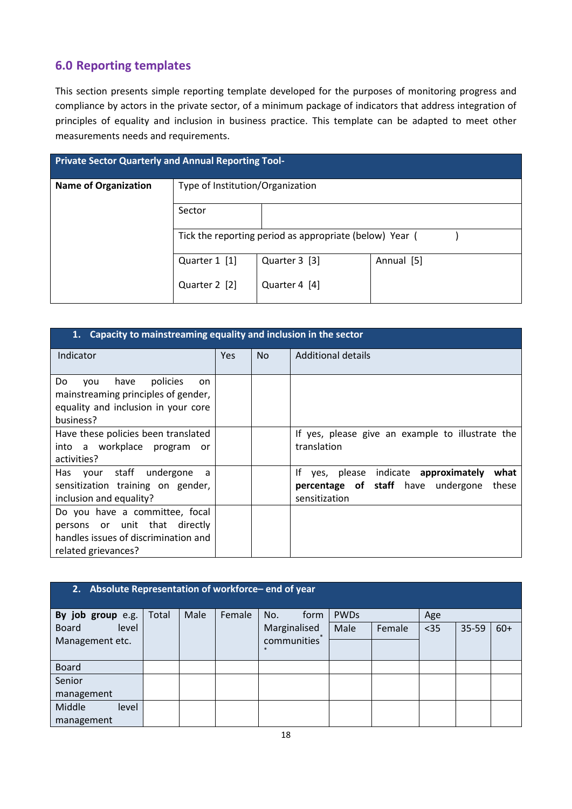# <span id="page-17-0"></span>**6.0 Reporting templates**

This section presents simple reporting template developed for the purposes of monitoring progress and compliance by actors in the private sector, of a minimum package of indicators that address integration of principles of equality and inclusion in business practice. This template can be adapted to meet other measurements needs and requirements.

|                             | <b>Private Sector Quarterly and Annual Reporting Tool-</b> |                                                         |            |  |  |  |  |  |  |  |
|-----------------------------|------------------------------------------------------------|---------------------------------------------------------|------------|--|--|--|--|--|--|--|
| <b>Name of Organization</b> | Type of Institution/Organization                           |                                                         |            |  |  |  |  |  |  |  |
|                             | Sector                                                     |                                                         |            |  |  |  |  |  |  |  |
|                             |                                                            | Tick the reporting period as appropriate (below) Year ( |            |  |  |  |  |  |  |  |
|                             | Quarter 1 [1]                                              | Quarter 3 [3]                                           | Annual [5] |  |  |  |  |  |  |  |
|                             | Quarter 2 [2]                                              | Quarter 4 [4]                                           |            |  |  |  |  |  |  |  |

| Capacity to mainstreaming equality and inclusion in the sector<br>1.                                                           |      |     |                                                                                                                            |
|--------------------------------------------------------------------------------------------------------------------------------|------|-----|----------------------------------------------------------------------------------------------------------------------------|
| Indicator                                                                                                                      | Yes. | No. | <b>Additional details</b>                                                                                                  |
| Do<br>policies<br>have<br>vou<br>on<br>mainstreaming principles of gender,<br>equality and inclusion in your core<br>business? |      |     |                                                                                                                            |
| Have these policies been translated<br>into a workplace program<br>or<br>activities?                                           |      |     | If yes, please give an example to illustrate the<br>translation                                                            |
| staff undergone<br>Has your<br>a<br>sensitization training on gender,<br>inclusion and equality?                               |      |     | Ιf<br>indicate approximately<br>what<br>yes, please<br><b>percentage of staff</b> have undergone<br>these<br>sensitization |
| Do you have a committee, focal<br>persons or unit that directly<br>handles issues of discrimination and<br>related grievances? |      |     |                                                                                                                            |

| 2.                    | Absolute Representation of workforce-end of year |      |        |                               |             |        |      |       |       |  |  |  |
|-----------------------|--------------------------------------------------|------|--------|-------------------------------|-------------|--------|------|-------|-------|--|--|--|
| By job group e.g.     | Total                                            | Male | Female | No.<br>form                   | <b>PWDs</b> |        | Age  |       |       |  |  |  |
| level<br><b>Board</b> |                                                  |      |        | Marginalised                  | Male        | Female | $35$ | 35-59 | $60+$ |  |  |  |
| Management etc.       |                                                  |      |        | communities <sup>1</sup><br>冰 |             |        |      |       |       |  |  |  |
| <b>Board</b>          |                                                  |      |        |                               |             |        |      |       |       |  |  |  |
| Senior                |                                                  |      |        |                               |             |        |      |       |       |  |  |  |
| management            |                                                  |      |        |                               |             |        |      |       |       |  |  |  |
| Middle<br>level       |                                                  |      |        |                               |             |        |      |       |       |  |  |  |
| management            |                                                  |      |        |                               |             |        |      |       |       |  |  |  |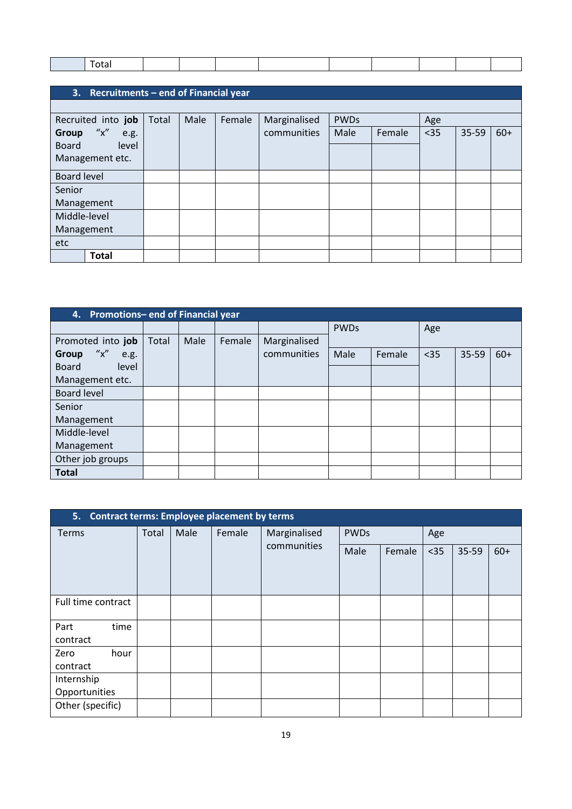# **3. Recruitments – end of Financial year**

| Recruited into job     | Total | Male | Female | Marginalised<br>communities | <b>PWDs</b> |        | Age  |       |       |
|------------------------|-------|------|--------|-----------------------------|-------------|--------|------|-------|-------|
| ''x''<br>Group<br>e.g. |       |      |        |                             | Male        | Female | $35$ | 35-59 | $60+$ |
| <b>Board</b><br>level  |       |      |        |                             |             |        |      |       |       |
| Management etc.        |       |      |        |                             |             |        |      |       |       |
| Board level            |       |      |        |                             |             |        |      |       |       |
| Senior                 |       |      |        |                             |             |        |      |       |       |
| Management             |       |      |        |                             |             |        |      |       |       |
| Middle-level           |       |      |        |                             |             |        |      |       |       |
| Management             |       |      |        |                             |             |        |      |       |       |
| etc                    |       |      |        |                             |             |        |      |       |       |
| <b>Total</b>           |       |      |        |                             |             |        |      |       |       |

|                               | 4. Promotions-end of Financial year |      |        |              |             |        |      |       |       |  |  |
|-------------------------------|-------------------------------------|------|--------|--------------|-------------|--------|------|-------|-------|--|--|
|                               |                                     |      |        |              | <b>PWDs</b> |        | Age  |       |       |  |  |
| Promoted into job             | Total                               | Male | Female | Marginalised |             |        |      |       |       |  |  |
| ''x''<br><b>Group</b><br>e.g. |                                     |      |        | communities  | Male        | Female | $35$ | 35-59 | $60+$ |  |  |
| level<br><b>Board</b>         |                                     |      |        |              |             |        |      |       |       |  |  |
| Management etc.               |                                     |      |        |              |             |        |      |       |       |  |  |
| <b>Board level</b>            |                                     |      |        |              |             |        |      |       |       |  |  |
| Senior                        |                                     |      |        |              |             |        |      |       |       |  |  |
| Management                    |                                     |      |        |              |             |        |      |       |       |  |  |
| Middle-level                  |                                     |      |        |              |             |        |      |       |       |  |  |
| Management                    |                                     |      |        |              |             |        |      |       |       |  |  |
| Other job groups              |                                     |      |        |              |             |        |      |       |       |  |  |
| <b>Total</b>                  |                                     |      |        |              |             |        |      |       |       |  |  |

| 5.                          |       |      | <b>Contract terms: Employee placement by terms</b> |                             |             |        |      |       |       |
|-----------------------------|-------|------|----------------------------------------------------|-----------------------------|-------------|--------|------|-------|-------|
| <b>Terms</b>                | Total | Male | Female                                             | Marginalised<br>communities | <b>PWDs</b> |        | Age  |       |       |
|                             |       |      |                                                    |                             | Male        | Female | $35$ | 35-59 | $60+$ |
| Full time contract          |       |      |                                                    |                             |             |        |      |       |       |
| time<br>Part<br>contract    |       |      |                                                    |                             |             |        |      |       |       |
| Zero<br>hour<br>contract    |       |      |                                                    |                             |             |        |      |       |       |
| Internship<br>Opportunities |       |      |                                                    |                             |             |        |      |       |       |
| Other (specific)            |       |      |                                                    |                             |             |        |      |       |       |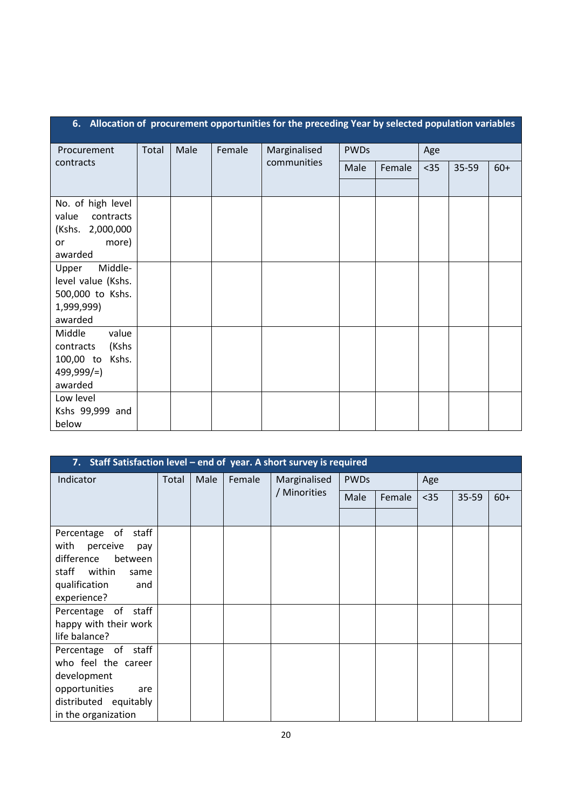|                                        | 6. Allocation of procurement opportunities for the preceding Year by selected population variables |      |        |              |             |        |      |       |       |  |  |
|----------------------------------------|----------------------------------------------------------------------------------------------------|------|--------|--------------|-------------|--------|------|-------|-------|--|--|
| Procurement                            | Total                                                                                              | Male | Female | Marginalised | <b>PWDs</b> |        | Age  |       |       |  |  |
| contracts                              |                                                                                                    |      |        | communities  | Male        | Female | $35$ | 35-59 | $60+$ |  |  |
|                                        |                                                                                                    |      |        |              |             |        |      |       |       |  |  |
| No. of high level                      |                                                                                                    |      |        |              |             |        |      |       |       |  |  |
| value<br>contracts<br>(Kshs. 2,000,000 |                                                                                                    |      |        |              |             |        |      |       |       |  |  |
| more)<br><b>or</b>                     |                                                                                                    |      |        |              |             |        |      |       |       |  |  |
| awarded                                |                                                                                                    |      |        |              |             |        |      |       |       |  |  |
| Middle-<br>Upper                       |                                                                                                    |      |        |              |             |        |      |       |       |  |  |
| level value (Kshs.<br>500,000 to Kshs. |                                                                                                    |      |        |              |             |        |      |       |       |  |  |
| 1,999,999)                             |                                                                                                    |      |        |              |             |        |      |       |       |  |  |
| awarded                                |                                                                                                    |      |        |              |             |        |      |       |       |  |  |
| value<br>Middle                        |                                                                                                    |      |        |              |             |        |      |       |       |  |  |
| (Kshs<br>contracts<br>100,00 to Kshs.  |                                                                                                    |      |        |              |             |        |      |       |       |  |  |
| $499,999/=$                            |                                                                                                    |      |        |              |             |        |      |       |       |  |  |
| awarded                                |                                                                                                    |      |        |              |             |        |      |       |       |  |  |
| Low level                              |                                                                                                    |      |        |              |             |        |      |       |       |  |  |
| Kshs 99,999 and<br>below               |                                                                                                    |      |        |              |             |        |      |       |       |  |  |

|                         | 7. Staff Satisfaction level - end of year. A short survey is required |      |        |              |             |        |      |       |       |  |  |  |
|-------------------------|-----------------------------------------------------------------------|------|--------|--------------|-------------|--------|------|-------|-------|--|--|--|
| Indicator               | Total                                                                 | Male | Female | Marginalised | <b>PWDs</b> |        | Age  |       |       |  |  |  |
|                         |                                                                       |      |        | / Minorities | Male        | Female | $35$ | 35-59 | $60+$ |  |  |  |
|                         |                                                                       |      |        |              |             |        |      |       |       |  |  |  |
| Percentage of<br>staff  |                                                                       |      |        |              |             |        |      |       |       |  |  |  |
| with<br>perceive<br>pay |                                                                       |      |        |              |             |        |      |       |       |  |  |  |
| difference<br>between   |                                                                       |      |        |              |             |        |      |       |       |  |  |  |
| staff within<br>same    |                                                                       |      |        |              |             |        |      |       |       |  |  |  |
| qualification<br>and    |                                                                       |      |        |              |             |        |      |       |       |  |  |  |
| experience?             |                                                                       |      |        |              |             |        |      |       |       |  |  |  |
| Percentage of staff     |                                                                       |      |        |              |             |        |      |       |       |  |  |  |
| happy with their work   |                                                                       |      |        |              |             |        |      |       |       |  |  |  |
| life balance?           |                                                                       |      |        |              |             |        |      |       |       |  |  |  |
| Percentage of staff     |                                                                       |      |        |              |             |        |      |       |       |  |  |  |
| who feel the career     |                                                                       |      |        |              |             |        |      |       |       |  |  |  |
| development             |                                                                       |      |        |              |             |        |      |       |       |  |  |  |
| opportunities<br>are    |                                                                       |      |        |              |             |        |      |       |       |  |  |  |
| distributed equitably   |                                                                       |      |        |              |             |        |      |       |       |  |  |  |
| in the organization     |                                                                       |      |        |              |             |        |      |       |       |  |  |  |